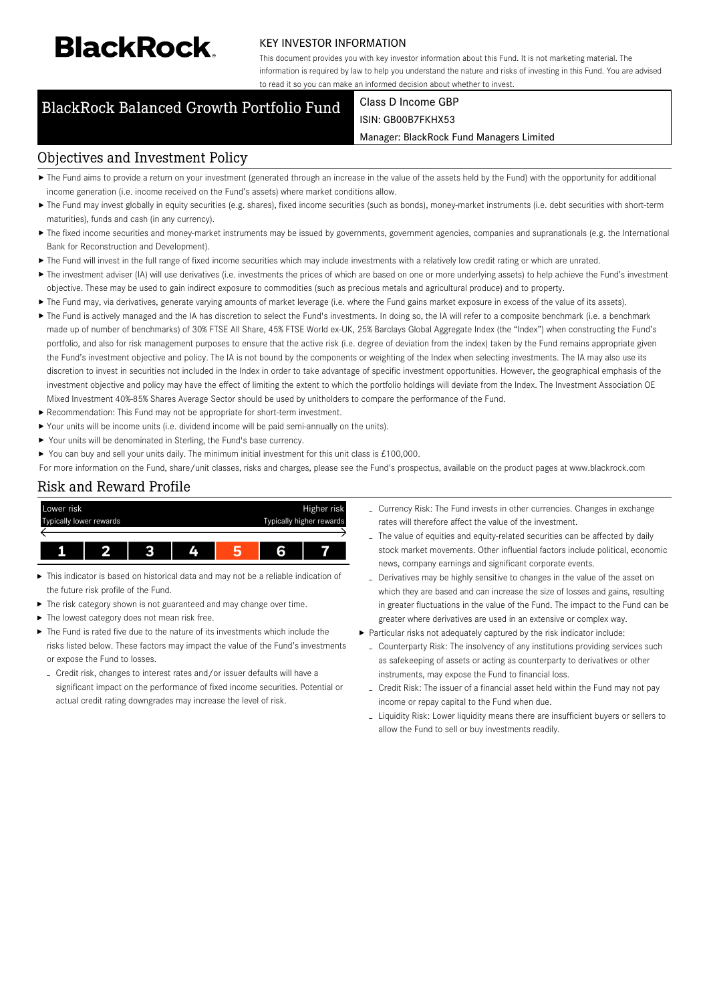# **BlackRock**

#### KEY INVESTOR INFORMATION

This document provides you with key investor information about this Fund. It is not marketing material. The information is required by law to help you understand the nature and risks of investing in this Fund. You are advised to read it so you can make an informed decision about whether to invest.

### BlackRock Balanced Growth Portfolio Fund Class D Income GBP

## ISIN: GB00B7FKHX53

#### Manager: BlackRock Fund Managers Limited

#### Objectives and Investment Policy

- ▶ The Fund aims to provide a return on your investment (generated through an increase in the value of the assets held by the Fund) with the opportunity for additional income generation (i.e. income received on the Fund's assets) where market conditions allow.
- ▶ The Fund may invest globally in equity securities (e.g. shares), fixed income securities (such as bonds), money-market instruments (i.e. debt securities with short-term maturities), funds and cash (in any currency).
- ▶ The fixed income securities and money-market instruments may be issued by governments, government agencies, companies and supranationals (e.g. the International Bank for Reconstruction and Development).
- ▶ The Fund will invest in the full range of fixed income securities which may include investments with a relatively low credit rating or which are unrated.
- ▶ The investment adviser (IA) will use derivatives (i.e. investments the prices of which are based on one or more underlying assets) to help achieve the Fund's investment objective. These may be used to gain indirect exposure to commodities (such as precious metals and agricultural produce) and to property.
- The Fund may, via derivatives, generate varying amounts of market leverage (i.e. where the Fund gains market exposure in excess of the value of its assets).
- ▶ The Fund is actively managed and the IA has discretion to select the Fund's investments. In doing so, the IA will refer to a composite benchmark (i.e. a benchmark made up of number of benchmarks) of 30% FTSE All Share, 45% FTSE World ex-UK, 25% Barclays Global Aggregate Index (the "Index") when constructing the Fund's portfolio, and also for risk management purposes to ensure that the active risk (i.e. degree of deviation from the index) taken by the Fund remains appropriate given the Fund's investment objective and policy. The IA is not bound by the components or weighting of the Index when selecting investments. The IA may also use its discretion to invest in securities not included in the Index in order to take advantage of specific investment opportunities. However, the geographical emphasis of the investment objective and policy may have the effect of limiting the extent to which the portfolio holdings will deviate from the Index. The Investment Association OE Mixed Investment 40%-85% Shares Average Sector should be used by unitholders to compare the performance of the Fund.
- Recommendation: This Fund may not be appropriate for short-term investment.
- Your units will be income units (i.e. dividend income will be paid semi-annually on the units).
- ▶ Your units will be denominated in Sterling, the Fund's base currency.

You can buy and sell your units daily. The minimum initial investment for this unit class is £100,000.

For more information on the Fund, share/unit classes, risks and charges, please see the Fund's prospectus, available on the product pages at www.blackrock.com

#### Risk and Reward Profile



- This indicator is based on historical data and may not be a reliable indication of the future risk profile of the Fund.
- ь The risk category shown is not guaranteed and may change over time.
- Ы The lowest category does not mean risk free.
- The Fund is rated five due to the nature of its investments which include the risks listed below. These factors may impact the value of the Fund's investments or expose the Fund to losses.
	- Credit risk, changes to interest rates and/or issuer defaults will have a significant impact on the performance of fixed income securities. Potential or actual credit rating downgrades may increase the level of risk.
- Currency Risk: The Fund invests in other currencies. Changes in exchange rates will therefore affect the value of the investment.
- The value of equities and equity-related securities can be affected by daily stock market movements. Other influential factors include political, economic news, company earnings and significant corporate events.
- Derivatives may be highly sensitive to changes in the value of the asset on which they are based and can increase the size of losses and gains, resulting in greater fluctuations in the value of the Fund. The impact to the Fund can be greater where derivatives are used in an extensive or complex way.
- Particular risks not adequately captured by the risk indicator include:
- Counterparty Risk: The insolvency of any institutions providing services such as safekeeping of assets or acting as counterparty to derivatives or other instruments, may expose the Fund to financial loss.
- Credit Risk: The issuer of a financial asset held within the Fund may not pay income or repay capital to the Fund when due.
- Liquidity Risk: Lower liquidity means there are insufficient buyers or sellers to allow the Fund to sell or buy investments readily.